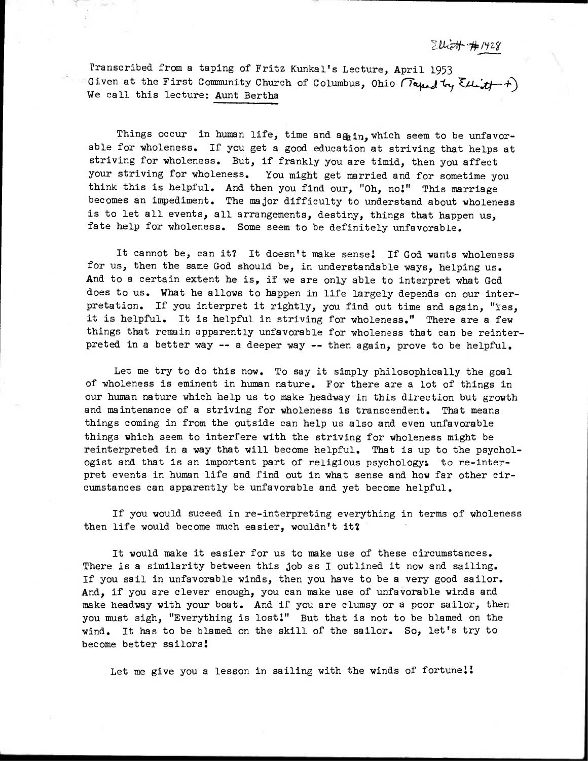# $2u_{\tau} + \# 1428$

Pranscribed from a taping of Fritz Kunkal's Lecture, April 1953 Given at the First Community Church of Columbus, Ohio (Tape) by  $\mathcal{E}$ U  $\mathcal{H}$  +) We call this lecture: Aunt Bertha

Things occur in human life, time and  $a_{\text{min}}$ , which seem to be unfavorable for wholeness. If you get a good education at striving that helps at striving for wholeness. But, if frankly you are timid, then you affect your striving for wholeness. You might get married and for sometime you think this is helpful. And then you find our, "Oh, no!" This marriage becomes an impediment. The major difficulty to understand about wholeness is to let all events, all arrangements, destiny, things that happen us, fate help for wholeness. Some seem to be definitely unfavorable.

It cannot be, can it? It doesn't make sense! If God wants wholeness for us, then the same God should be, in understandable ways, helping us. And to a certain extent he is, if we are only able to interpret what God does to us. What he allows to happen in life largely depends on our interpretation. If you interpret it rightly, you find out time and again, "Yes, it is helpful. It is helpful in striving for wholeness." There are a few things that remain apparently unfavorable for wholeness that can be reinterpreted in a better way -- a deeper way -- then again, prove to be helpful.

Let me try to do this now. To say it simply philosophically the goal of wholeness is eminent in human nature. For there are a lot of things in our human nature which help us to make headway in this direction but growth and maintenance of a striving for wholeness is transcendent. That means things coming in from the outside can help us also and even unfavorable things which seem to interfere with the striving for wholeness might be reinterpreted in a way that will become helpful. That is up to the psychologist and that is an important part of religious psychology: to re-interpret events in human life and find out in what sense and how far other circumstances can apparently be unfavorable and yet become helpful.

If you would suceed in re-interpreting everything in terms of wholeness then life would become much easier, wouldn't it?

It would make it easier for us to make use of these circumstances. There is a similarity between this job as I outlined it now and sailing. If you sail in unfavorable winds, then you have to be a very good sailor. And, if you are clever enough, you can make use of unfavorable winds and make headway with your boat. And if you are clumsy or a poor sailor, then you must sigh, "Everything is lost!" But that is not to be blamed on the wind. It has to be blamed on the skill of the sailor. So, let's try to become better sailors!

Let me give you a lesson in sailing with the winds of fortune!!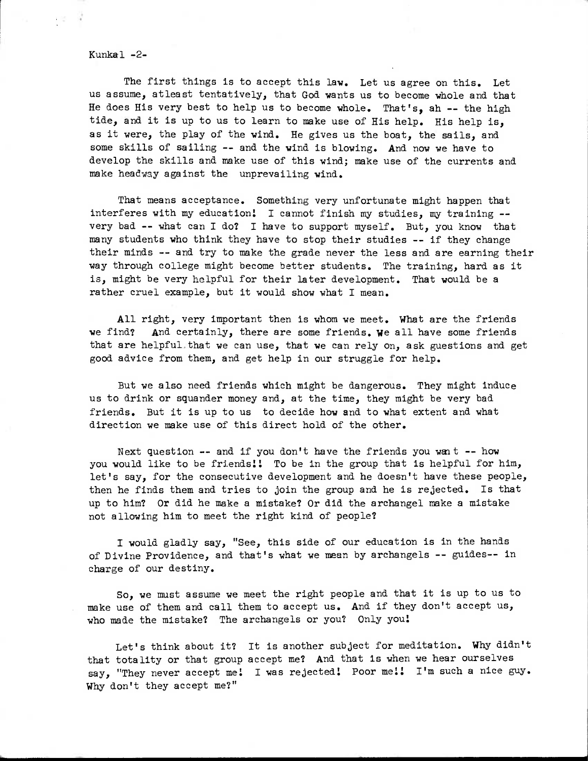## Kunkal -2-

The first things is to accept this law. Let us agree on this. Let us assume, atleast tentatively, that God wants us to become whole and that He does His very best to help us to become whole. That's, ah -- the high tide, and it is up to us to learn to make use of His help. His help is, as it were, the play of the wind. He gives us the boat, the sails, and some skills of sailing -- and the wind is blowing. And now we have to develop the skills and make use of this wind; make use of the currents and make headway against the unprevailing wind.

That means acceptance. Something very unfortunate might happen that interferes with my education: I cannot finish my studies, my training - very bad -- what can I do? I have to support myself. But, you know that many students who think they have to stop their studies -- if they change their minds -- and try to make the grade never the less and are earning their way through college might become better students. The training, hard as it is, might be very helpful for their later development. That would be a rather cruel example, but it would show what I mean.

All right, very important then is whom we meet. What are the friends we find? And certainly, there are some friends, we all have some friends that are helpful that we can use, that we can rely on, ask guestions and get good advice from them, and get help in our struggle for help.

But we also need friends which might be dangerous. They might induce us to drink or squander money and, at the time, they might be very bad friends. But it is up to us to decide how and to what extent and what direction we make use of this direct hold of the other.

Next question  $--$  and if you don't have the friends you want  $--$  how you would like to be friends!! To be in the group that is helpful for him, let's say, for the consecutive development and he doesn't have these people, then he finds them and tries to join the group and he is rejected. Is that up to him? Or did he make a mistake? Or did the archangel make a mistake not allowing him to meet the right kind of people?

I would gladly say, "See, this side of our education is in the hands of Divine Providence, and that's what we mean by archangels -- guides-- in charge of our destiny.

So, we must assume we meet the right people and that it is up to us to make use of them and call them to accept us. And if they don't accept us, who made the mistake? The archangels or you? Only you!

Let's think about it? It is another subject for meditation. Why didn't that totality or that group accept me? And that is when we hear ourselves say, "They never accept me! I was rejected! Poor me!! I'm such a nice guy. Why don't they accept me?"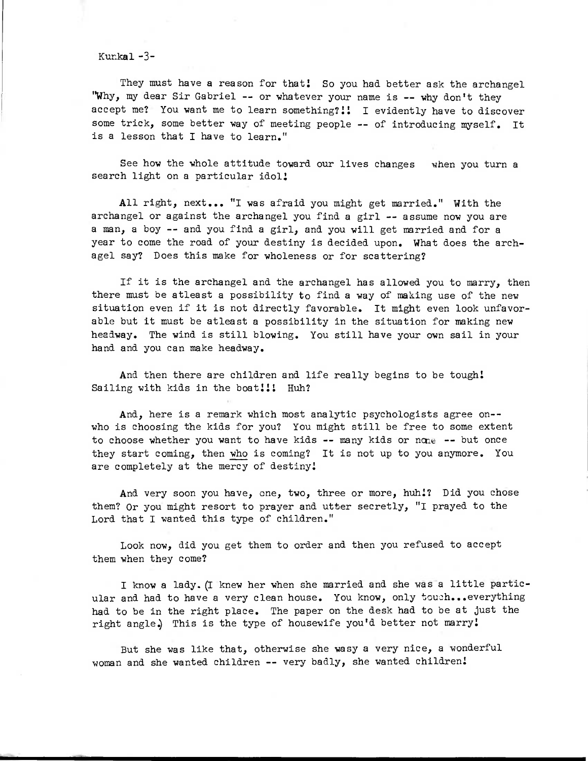## Kunkal  $-3-$

They must have a reason for that! So you had better ask the archangel "Why, my dear Sir Gabriel -- or whatever your name is -- why don't they accept me? You want me to learn something?!! I evidently have to discover some trick, some better way of meeting people -- of introducing myself. It is a lesson that I have to learn."

See how the whole attitude toward our lives changes when you turn a search light on a particular idol!

All right, next... "I was afraid you might get married." With the archangel or against the archangel you find a girl -- assume now you are a man, a boy -- and you find a girl, and you will get married and for a year to come the road of your destiny is decided upon. What does the archagel say? Does this make for wholeness or for scattering?

If it is the archangel and the archangel has allowed you to marry, then there must be atleast a possibility to find a way of making use of the new situation even if it is not directly favorable. It might even look unfavorable but it must be atleast a possibility in the situation for making new headway. The wind is still blowing. You still have your own sail in your hand and you can make headway.

And then there are children and life really begins to be tough! Sailing with kids in the boat!!! Huh?

And, here is a remark which most analytic psychologists agree on- who is choosing the kids for you? You might still be free to some extent to choose whether you want to have kids -- many kids or none -- but once they start coming, then who is coming? It is not up to you anymore. You are completely at the mercy of destiny!

And very soon you have, one, two, three or more, huh!? Did you chose them? Or you might resort to prayer and utter secretly, "I prayed to the Lord that I wanted this type of children."

Look now, did you get them to order and then you refused to accept them when they come?

I know a lady.(I knew her when she married and she was a little particular and had to have a very clean house. You know, only touch...everything had to be in the right place. The paper on the desk had to be at just the right angle,) This is the type of housewife you'd better not marry!

But she was like that, otherwise she wasy a very nice, a wonderful woman and she wanted children -- very badly, she wanted children!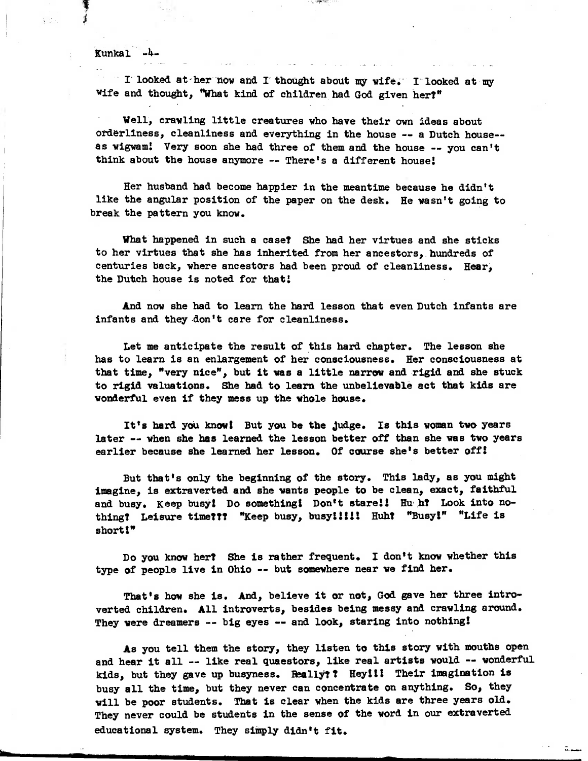**Kunkal** -4-

• **I- looked at-her -now and I- thought about my wife: -I- looked at my wife and thought, "Inat kind of children had God given her?"** 

**Well, crawling little creatures who have their own ideas about orderliness, cleanliness and everything in the house -- a Dutch hause-**  as wigwam! Very soon she had three of them and the house -- you can't **think about the house anymore -- There's a different house!** 

**Her husband had become happier in the meantime because he didn't like the angular position of the paper on the desk. He wasn't going to break the pattern you know.** 

**Wat happened in such a case? She bad her virtues and she sticks**  to her virtues that she has inherited from her ancestors, hundreds of **centuries back, where ancestors had been proud of cleanliness. Hear', the Dutch house is noted for that!** 

**And now she had to learn the hard lesson that even Dutch infants are infants and they.don't care for cleanliness.** 

**Let me anticipate the result of this hard chapter. The lesson she has to learn is an enlargement of her consciousness. Her consciousness at that time, "very nice", but it vas a little narrow and rigid and she stuck to rigid valuations. She bad to learn the unbelievable act that kids are wonderful even if they mess up the whole house.** 

It's hard you know! But you be the judge. Is this woman two years **later -- when she has learned the lesson better off than she was two years earlier because she learned her lesson: Of course she's better off!** 

**But that's only the beginning of the story. This lady, as you might imagine, is extraverted and she wants people to be clean, exact, faithful**  and busy. Keep busy! Do something! Don't stare!! Hu h? Look into no**thing? Leisure time??? "Keep busy, busy!!!!! HUh? 'Busy!" "Life is short!"** 

**Do you know her? She is rather frequent. I don't knov whether this type of people live in Ohio -- but somewhere near ve find her.** 

**That's how she is. And, believe it or not, God gave her three introverted children. All introverts, besides being messy and crawling around. They were dreamers -- big eyes -- and look, staring into nothing!** 

**As you tell them the story, they listen to this story with mouths open and hear it all -- like real quaestors, like real artists would -- wonderful**  kids, but they gave up busyness. Really?? Hey!!! Their imagination is **busy all the time, but they never can concentrate on anything. So, they will be poor students. That is clear when the kids are three years old. They never could be students in the sense of the word in our extraverted**  educational system. They simply didn't fit.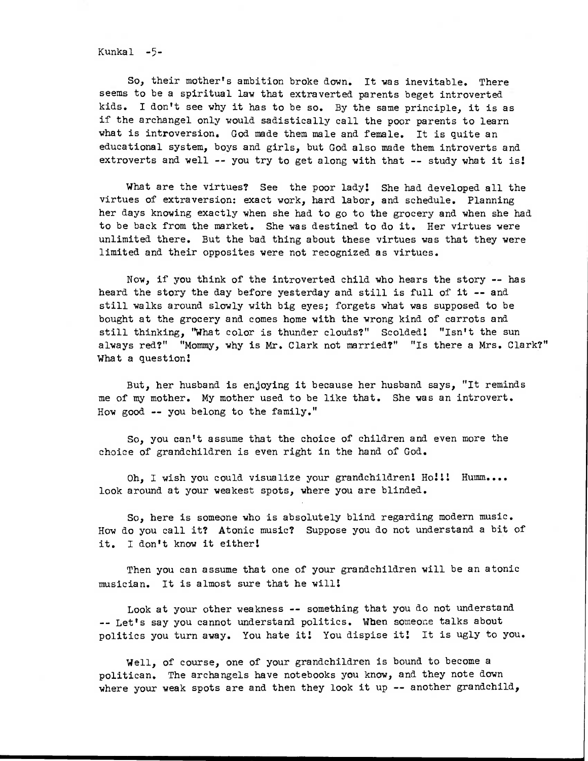Kunkal -5-

So, their mother's ambition broke down. It was inevitable. There seems to be a spiritual law that extraverted parents beget introverted kids. I don't see why it has to be so. By the same principle, it is as if the archangel only would sadistically call the poor parents to learn what is introversion. God made them male and female. It is quite an educational system, boys and girls, but God also made them introverts and extroverts and well -- you try to get along with that -- study what it is!

What are the virtues? See the poor lady! She had developed all the virtues of extraversion; exact work, hard labor, and schedule. Planning her days knowing exactly when she had to go to the grocery and when she had to be back from the market. She was destined to do it. Her virtues were unlimited there. But the bad thing about these virtues was that they were limited and their opposites were not recognized as virtues.

Now, if you think of the introverted child who hears the story -- has heard the story the day before yesterday and still is full of it -- and still walks around slowly with big eyes; forgets what was supposed to be bought at the grocery and comes home with the wrong kind of carrots and still thinking, "What color is thunder clouds?" Scolded! "Isn't the sun always red?" "Mommy, why is Mr. Clark not married?" "Is there a Mrs. Clark?" What a question:

But, her husband is enjoying it because her husband says, "It reminds me of my mother. My mother used to be like that. She was an introvert. How good -- you belong to the family."

So, you can't assume that the choice of children and even more the choice of grandchildren is even right in the hand of God.

Oh, I wish you could visualize your grandchildren! Ho!!! Humm.... look around at your weakest spots, where you are blinded.

So, here is someone who is absolutely blind regarding modern music. How do you call it? Atonic music? Suppose you do not understand a bit of it. I don't know it either:

Then you can assume that one of your grandchildren will be an atonic musician. It is almost sure that he will!

Look at your other weakness -- something that you do not understand -- Let's say you cannot understand politics. When someone talks about politics you turn away. You hate it! You dispise it! It is ugly to you.

Well, of course, one of your grandchildren is bound to become a politican. The archangels have notebooks you know, and they note down where your weak spots are and then they look it up -- another grandchild,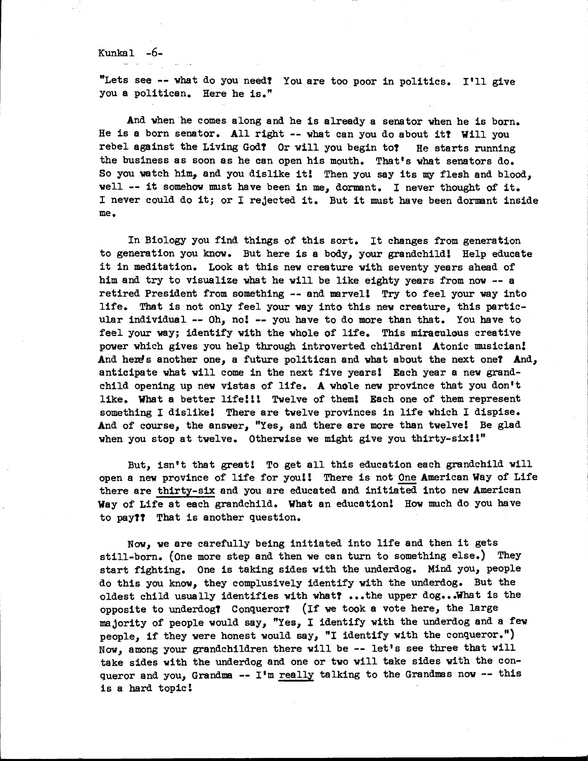KUnkal -6-

"Lets see -- what do you need? You are too poor in politics. I'll give you a politican. Here he is."

And when he comes along and he is already a senator when he is born. He is a born senator. All right -- what can you do about it? Will you rebel against the Living God? Or will you begin to? He starts running the business as soon as he can open his mouth. That's what senators do. So you watch him, and you dislike it! Then you say its my flesh and blood, well  $--$  it somehow must have been in me, dormant. I never thought of it. I never could do it; or I rejected it. But it must have been dormant inside me.

In Biology you find things of this sort. It changes from generation to generation you know. But here is a body, your grandchild! Help educate it in meditation. Look at this new creature with seventy years ahead of him and try to visualize what he will be like eighty years from now -- a retired President from something -- and marvel! Try to feel your way into life. That is not only feel your way into this new creature, this particular individual -- Oh, no! -- you have to do more than that. You have to feel your vay; identify with the whole of life. This miraculous creative power which gives you help through introverted children! Atonic musician! And here's another one, a future politican and what about the next one? And, anticipate what will come in the next five years! Each year a new grandchild opening up new vistas of life. A whole new province that you don't like. What a better life!!! Twelve of them! Each one of them represent something I dislike! There are twelve provinces in life which I dispise. And of course, the answer, "Yes, and there are more than twelve! Be glad when you stop at twelve. Otherwise we might give you thirty-six!!"

But, isn't that great! To get all this education each grandchild will open a new province of life for you!! There is not One American Way of Life there are thirty-six and you are educated and initiated into new American Way of Life at each grandchild. What an education! How much do you have to pay?? That is another question.

Nov, we are carefully being initiated into life and then it gets still-born. (One more step and then we can turn to something else,) They start fighting. One is taking sides with the underdog. Mind you, people do this you know, they complusively identify with the underdog. But the oldest child usually identifies with what? •..the upper dog...1What is the opposite to underdog? Conqueror? (If we took a vote here, the large majority of people would say, "Yes, I identify with the underdog and a few people, if they were honest would say, "I identify with the conqueror.") Nov, among your grandchildren there will be -- let's see three that will take sides with the underdog and one or two will take sides with the conqueror and you, Grandma -- I'm really talking to the Grandmas now -- this is a hard topic!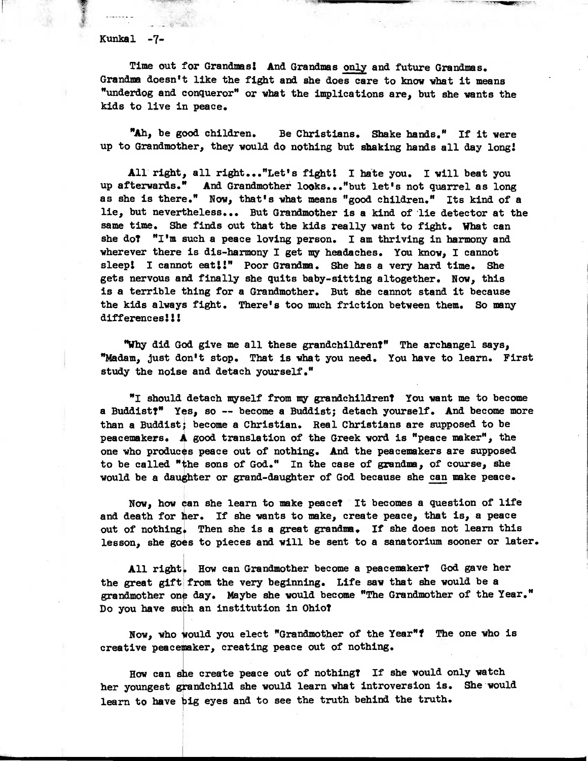# **Kunkal** -7-

**Time out for Grandmas! And Grandmas onlyand future Grandmas. Grandma doesn't like the fight and she does care to know what it means "underdog and conqueror" or what the implications are, but she wants the kids to live in peace.** 

**"Ah, be good children. Be Christians. Shake bands." If it were up to Grandmother, they would do nothing but shaking hands all day long!** 

**All\* right, all right..."Let's fight! I hate you. I will beat you up afterwards." And Grandmother looks..."but let's not quarrel as long as she is there." Nov, that's what means "good children." Its kind of a lie, but nevertheless... But Grandmother is a kind of . lie detector at the same time. She finds out that the kids really want to fight. What can she do? "I'm such a peace loving person. I am thriving in harmony and wherever there is dis-harmony I get my headaches. You know, I cannot sleep! I cannot eatt!" Poor Grandma. She has a very bard time. She gets nervous and finally she quits baby-sitting altogether. Now, this is a terrible thing for a Grandmother. But she cannot stand it because the kids always fight. There's too much friction between them. So many differences!!!** 

**"Why did God give me all these grandchildren?" The archangel says, "Madam, just don't stop. That is what you need. You have to learn. First study the noise and detach yourself,"** 

**"I should detach myself from my grandchildren? You want me to become a Buddist?" Yes, so -- become a Buddist; detach yourself. And. become more**  than a Buddist; become a Christian. Real Christians are supposed to be **peacemakers. 4 good translation of the Greek word is "peace maker", the**  one who produces peace out of nothing. And the peacemakers are supposed to be called "the sons of God." In the case of grandma, of course, she **would be a dauèhter or grand-daughter of God because she can make peace.** 

Now, how can she learn to make peace? It becomes a question of life and death for her. If she wants to make, create peace, that is, a peace out of nothing. Then she is a great grandma. If she does not learn this **lesson, she goes to pieces and will be sent to a sanatorium sooner or later.** 

All right. How can Grandmother become a peacemaker? God gave her **the great gift from the very beginning. Life saw that she would be a grandmother one day. Maybe she would become "The Grandmother of the Year,"**  Do you have such an institution in Ohio?

**Nov, who Would you elect "Grandmother of the Year"? The one who is**  creative peacemaker, creating peace out of nothing.

**How can she create peace out of nothing? If she would only watch**  her youngest grandchild she would learn what introversion is. She would learn to have big eyes and to see the truth behind the truth.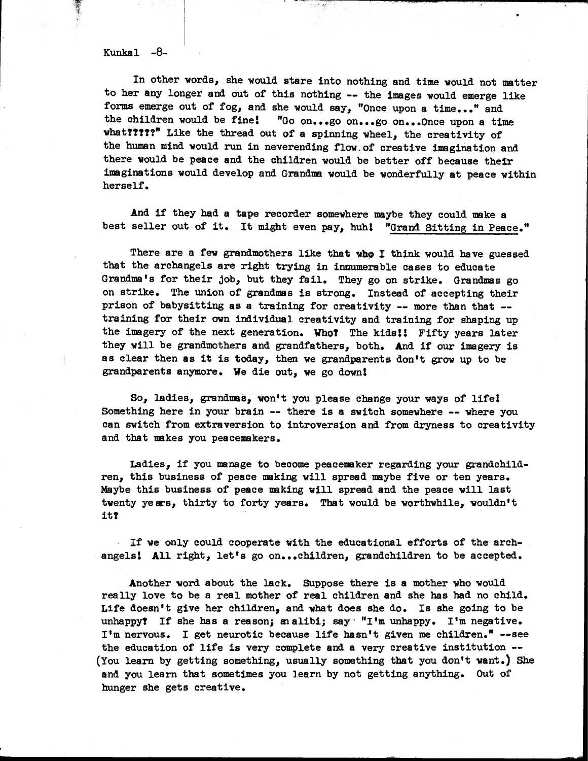**Kunkal -8-** 

**In other words, she would stare into nothing and time would not matter to her any longer and out of this nothing -- the images would emerge like forms emerge out of fog, and she would say, "Once upon a time..." and the children would be fine! "Go on...go on...go on...Once upon a time what?????" Like the thread out of a spinning wheel, the creativity of the human mind would run in neverending flow,of creative imagination and there would be peace and the children would be better off because their imaginations would develop and Grandma would be wonderfully at peace within herself.** 

**And if they had a tape recorder somewhere maybe they could make a**  best seller out of it. It might even pay, huh! "Grand Sitting in Peace."

**There are a few grandmothers like that who I think would have guessed that the archangels are right trying in innumerable cases to educate**  Grandma's for their job, but they fail. They go on strike. Grandmas go **on strike. The union of grandmas is strong. Instead of accepting their prison of babysitting as a training for creativity -- more than that - training for their own individual creativity and training for shaping up**  the imagery of the next generation. Who? The kids!! Fifty years later **they will be grandmothers and grandfathers, both. And if our imagery is as clear then as it is today, then we grandparents don't grow up to be grandparents anymore. We die out, we go down!** 

So, ladies, grandmas, won't you please change your ways of life! **Something here in your brain -- there is a switch somewhere -- where you can switch from extraversion to introversion and from dryness to creativity and that makes you peacemakers.** 

**Ladies, if you manage to become peacemaker regarding your grandchildren, this business of peace making will spread maybe five or ten years. Maybe this business of peace making will spread and the peace will last twenty years, thirty to forty years. That would be worthwhile, wouldn't it?** 

**, If we only could cooperate with the educational efforts of the arch**angels! All right, let's go on...children, grandchildren to be accepted.

**Another word about the lack. Suppose there is a mother who would really love to be a real mother of real children and she has had no child. Life doesn't give her children, and what does she do. Is she going to be**  unhappy? If she has a reason; an alibi; say "I'm unhappy. I'm negative. **I'm nervous. I get neurotic because life hasn't given me children." --see the education of life is very complete and a very creative institution -- (You learn by getting something, usually something that you don't want.) She and you learn that sometimes you learn by not getting anything. Out of hunger she gets creative.**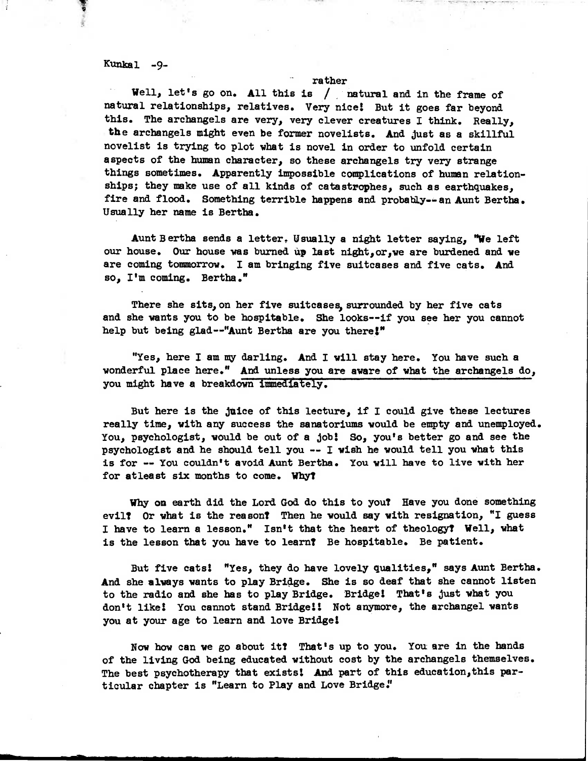**Kunkel -9-** 

## **rather**

Well, let's go on. All this is / natural and in the frame of **natural relationships, relatives. Very nice! But it goes far beyond this. The archangels are very, very clever creatures I think. Really, the archangels might even be former novelists. And just as a skillful novelist is trying to plot what is novel in order to unfold certain aspects of the human character, so these archangels try very strange things sometimes. Apparently impossible complications of human relationships; they make use of all kinds of catastrophes, such as earthquakes,**  fire and flood. Something terrible happens and probably-- an Aunt Bertha. Usually her name is Bertha.

**Aunt Bertha sends a letter, Usually a night letter saying, 1We left our house. Our house was burned up last night,or,we are burdened and ve are coming tomorrow. I am bringing five suitcases and five cats. And so, I'm coming. Bertha."** 

There she sits, on her five suitcases, surrounded by her five cats **and she wants you to be hospitable. She looks--if you see her you cannot help but being glad--"Aunt Bertha are you there!"** 

**"Yes, here I am my darling. And I will stay here. You have such a wonderful place here." And unless you are aware of what the archangels do, you might have a breakdown immediately.** 

**But here is the jtice of this lecture, if I could give these lectures really time, with any success the sanatoriums vould be empty and unemployed. You, psychologist, would be out of a job! So, you's better go and see the psychologist and he should tell you -- I wish he would tell you what this is for -- You couldn't avoid Aunt Bertha. You will have to live with her**  for atleast six months to come. Why?

**Why on earth did the Lord God do this to you? Have you done something evil? Or what is the reason? Then he would say with resignation, "I guess**  I have to learn a lesson." Isn't that the heart of theology? Well, what **is the lesson that you have to learn? Be hospitable. Be patient.** 

**But five cats! "Yes, they do have lovely qualities," says Aunt Bertha. And she always wants to play Bridge. She is so deaf that she Cannot listen to the radio and she has to play Bridge. Bridge! That's just what you don't like! You cannot stand Bridge!! Not anymore, the archangel wants you at your age to learn and love Bridge!** 

**Nov how can we go about it? That's up to you. You: are in the bands of the living God being educated without cost by the archangels themselves.**  The best psychotherapy that exists! And part of this education, this par**ticular chapter is "Learn to Play and Love Bridge:**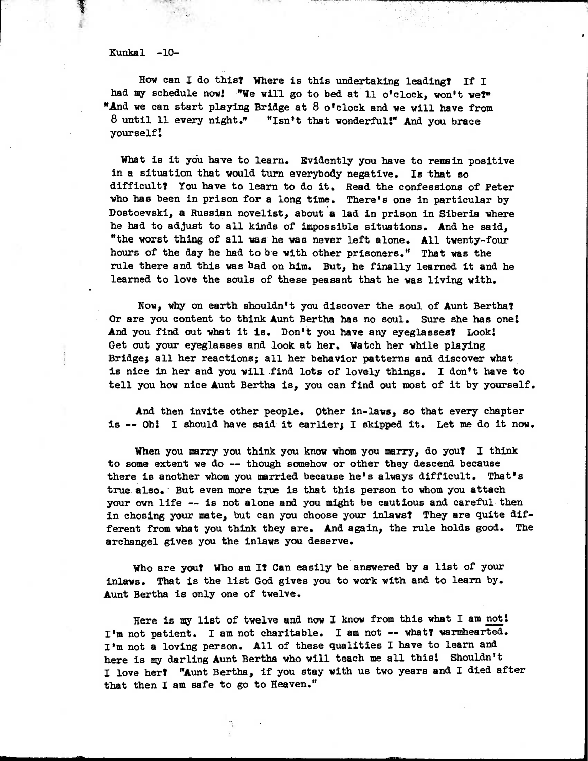**Kunkel -10-** 

**How can I do this? Where is this undertaking leading? If I had my schedule now! "We will go to bed at 11 o'clock, won't weft "And we can start playing Bridge at** 8 **o'clock and we will have from**  8 **until 11 every night." "Isn't that wonderful!" And you brace yourself!** 

What is it you have to learn. Evidently you have to remain positive **in a situation that would turn everybody negative. Is that so difficult? You have to learn to do it. Read the confessions of Peter who has been in prison for a long time. There's one in particular by Dostoevski, a Russian novelist, about a lad in prison in Siberia where he had to adjust to all kinds of impossible situations. And he said, "the worst thing of all was he was never left alone. All twenty-four hours of the day he had to be with other prisoners." That was the rule there and this was bad on him. But, he finally learned it and he learned to love the souls of these peasant that he was living with.** 

**Now, why on earth shouldn't you discover the soul of Aunt Bertha? Or are you content to think Aunt Bertha has no soul. Sure she has one! And you find out what it is. Don't you have any eyeglasses? Look! Get out your eyeglasses and look at ber. Watch her while playing Bridge; all her reactions; all her behavior patterns and discover what is nice in her and you will .find lots of lovely things. I don't have to tell you how nice Aunt Bertha is, you can find out most of it by yourself.** 

**And then invite other people. Other in-laws, so that every chapter is -- Oh! I should have said it earlier; I skipped it. Let me do it now.** 

**When you marry you think you know whom you marry, do yout I think to some extent we do -- though somehow or other they descend because there is another whom you married because he's always difficult. That's true.also. -But even more trye is that this person to whom you attach your awn life -- is not alone and you might be cautious and careful then in chosing your mate, but can you choose your inlays? They are quite different from what you think they are. And again, the rule holds good. The archangel gives you the inlays you deserve.** 

**Who are you? Who am I? Can easily be answered by a list of your inlays. That is the list God gives you to work with and to learn by. Aunt Bertha is only one of twelve.** 

**Here is my list of twelve and now I know from this what I am not!**  I'm not patient. I am not charitable. I am not -- what? warmhearted. **I'm not a loving person. All of these qualities I have to learn and here is my darling Aunt Bertha who will teach me all this! Shouldn't I love her? "Aunt Bertha, if you stay with us two years and I died after that then I am safe to go to Heaven."**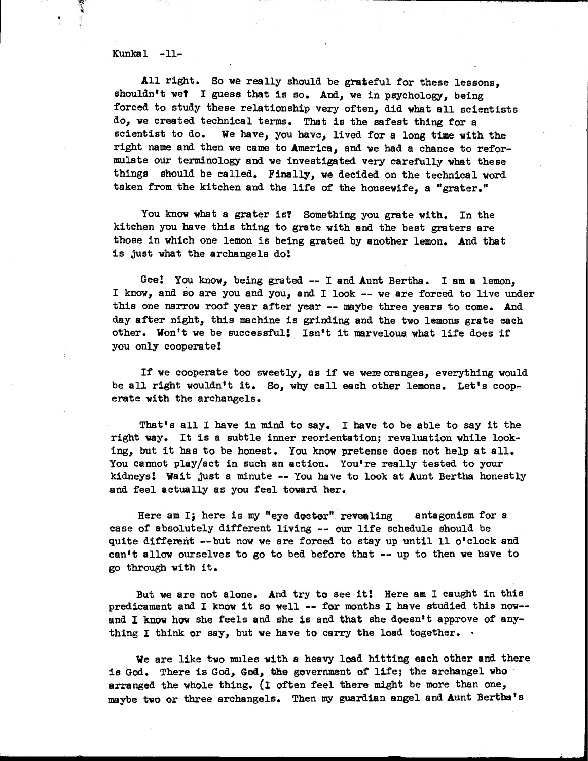## **KUnkal -11-**

**All right. So we really should be grateful for these lessons, shouldn't we? I guess that is so. And, we in psychology, being forced to study these relationship very often, did what all scientists do, we created technical terms . . That is the safest thing for a scientist to do. We have, you have, lived for a long time with the right name and then we came to America, and we had a chance to reformulate our terminology and we investigated very carefully what these things should be called. Finally, we decided on the technical word taken from the kitchen and the life of the housewife, a "grater."** 

**You know what a grater is? Something you grate with. In the kitchen you have this thing to grate with and the best graters are those in which one lemon is being grated by another lemon. And that is just what the archangels do!** 

**Gee! You know, being grated -- I and Aunt Bertha. I am a lemon, I know, and so are you and you, and I look -- we are forced to live under this one narrow roof year after year -- maybe three years to come. And day after night, this machine is grinding and the two lemons grate each other. Won't we be successful! Isn't it marvelous, what life does if you only cooperate!** 

If we cooperate too sweetly, as if we were oranges, everything would **be all right wouldn't it. So, why call each other lemons. Let's cooperate with the archangels.** 

**That's all I have in mind to say. I have to be able to say it the right way. It is a subtle inner reorientation; revaluation while looking, but it has to be honest. You know pretense does not help at all. You cannot play/act in such an action. You're really tested to your kidneys! Wait just a minute -- You have to look at Aunt Bertha honestly and feel actually as you feel toward her.** 

Here am I; here is my "eye doctor" revealing antagonism for a **case of absolutely different living -- our life schedule should be**  quite different -- but now we are forced to stay up until 11 o'clock and **can't allow ourselves to go to bed before that -- up to then we have to go through with it.** 

**But we are not alone. And try to see it! Here am I caught in this predicament and I know it so well -- for months I have studied this now- and I know how she feels and she is and that she doesn't approve of anything I think or say, but we have to carry the load together. •** 

**We are like two mules with a heavy load hitting each other and there**  is God. There is God, God, the government of life; the archangel who **arranged the whole thing. (I often feel there might be more than one, maybe two or three archangels. Then my guardian angel and Aunt Bertha's**